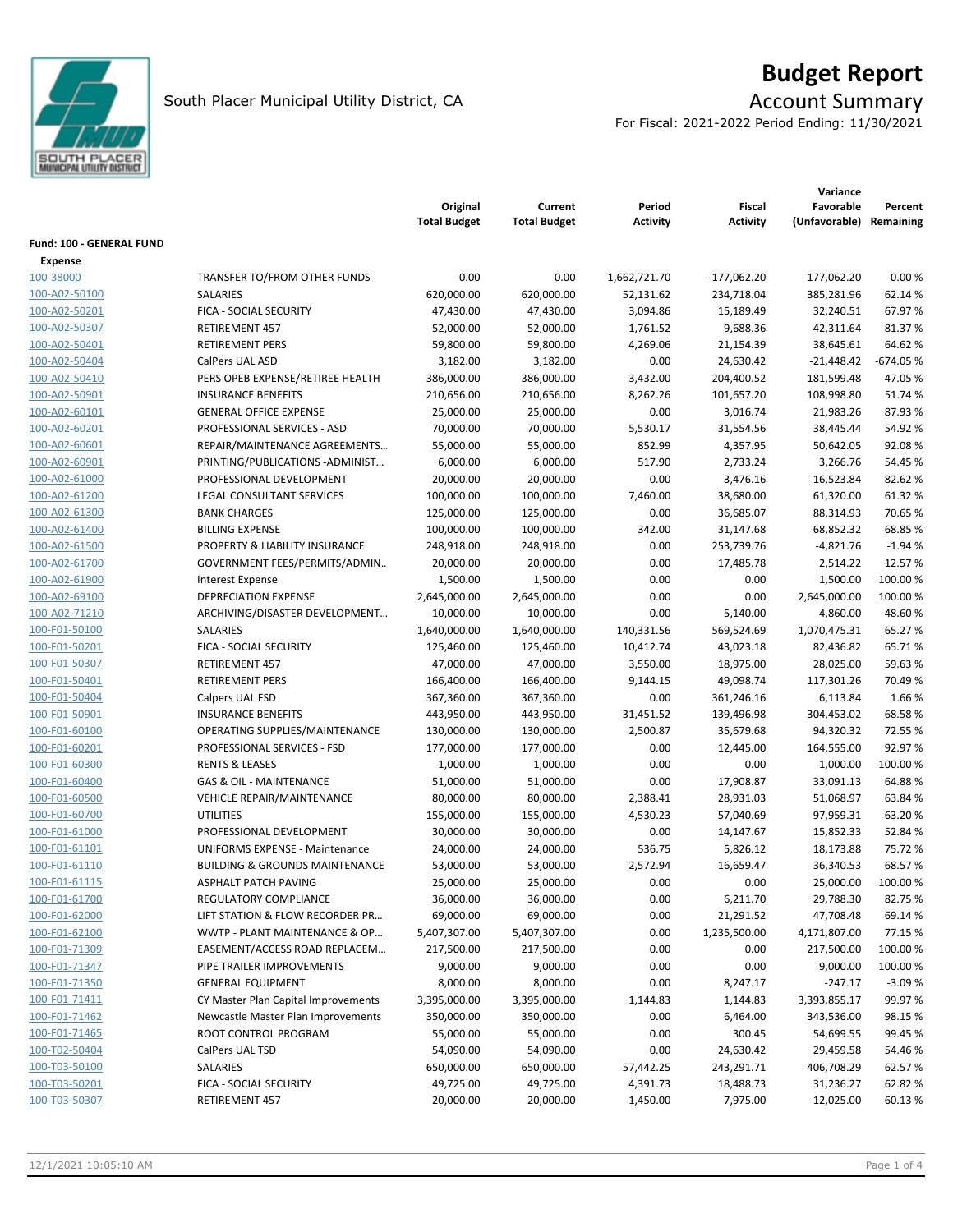

# **Budget Report**

For Fiscal: 2021-2022 Period Ending: 11/30/2021

|                          |                                           | Original<br><b>Total Budget</b> | Current<br><b>Total Budget</b> | Period<br>Activity | <b>Fiscal</b><br><b>Activity</b> | Variance<br>Favorable<br>(Unfavorable) | Percent<br>Remaining |
|--------------------------|-------------------------------------------|---------------------------------|--------------------------------|--------------------|----------------------------------|----------------------------------------|----------------------|
| Fund: 100 - GENERAL FUND |                                           |                                 |                                |                    |                                  |                                        |                      |
| Expense                  |                                           |                                 |                                |                    |                                  |                                        |                      |
| 100-38000                | TRANSFER TO/FROM OTHER FUNDS              | 0.00                            | 0.00                           | 1,662,721.70       | $-177,062.20$                    | 177,062.20                             | 0.00%                |
| 100-A02-50100            | SALARIES                                  | 620,000.00                      | 620,000.00                     | 52,131.62          | 234,718.04                       | 385,281.96                             | 62.14%               |
| 100-A02-50201            | FICA - SOCIAL SECURITY                    | 47,430.00                       | 47,430.00                      | 3,094.86           | 15,189.49                        | 32,240.51                              | 67.97%               |
| 100-A02-50307            | <b>RETIREMENT 457</b>                     | 52,000.00                       | 52,000.00                      | 1,761.52           | 9,688.36                         | 42,311.64                              | 81.37%               |
| 100-A02-50401            | <b>RETIREMENT PERS</b>                    | 59,800.00                       | 59,800.00                      | 4,269.06           | 21,154.39                        | 38,645.61                              | 64.62%               |
| 100-A02-50404            | CalPers UAL ASD                           | 3,182.00                        | 3,182.00                       | 0.00               | 24,630.42                        | $-21,448.42$                           | $-674.05%$           |
| 100-A02-50410            | PERS OPEB EXPENSE/RETIREE HEALTH          | 386,000.00                      | 386,000.00                     | 3,432.00           | 204,400.52                       | 181,599.48                             | 47.05%               |
| 100-A02-50901            | <b>INSURANCE BENEFITS</b>                 | 210,656.00                      | 210,656.00                     | 8,262.26           | 101,657.20                       | 108,998.80                             | 51.74 %              |
| 100-A02-60101            | <b>GENERAL OFFICE EXPENSE</b>             | 25,000.00                       | 25,000.00                      | 0.00               | 3,016.74                         | 21,983.26                              | 87.93%               |
| 100-A02-60201            | PROFESSIONAL SERVICES - ASD               | 70,000.00                       | 70,000.00                      | 5,530.17           | 31,554.56                        | 38,445.44                              | 54.92%               |
| 100-A02-60601            | REPAIR/MAINTENANCE AGREEMENTS             | 55,000.00                       | 55,000.00                      | 852.99             | 4,357.95                         | 50,642.05                              | 92.08%               |
| 100-A02-60901            | PRINTING/PUBLICATIONS-ADMINIST            | 6,000.00                        | 6,000.00                       | 517.90             | 2,733.24                         | 3,266.76                               | 54.45 %              |
| 100-A02-61000            | PROFESSIONAL DEVELOPMENT                  | 20,000.00                       | 20,000.00                      | 0.00               | 3,476.16                         | 16,523.84                              | 82.62%               |
| 100-A02-61200            | LEGAL CONSULTANT SERVICES                 | 100,000.00                      | 100,000.00                     | 7,460.00           | 38,680.00                        | 61,320.00                              | 61.32%               |
| 100-A02-61300            | <b>BANK CHARGES</b>                       | 125,000.00                      | 125,000.00                     | 0.00               | 36,685.07                        | 88,314.93                              | 70.65%               |
| 100-A02-61400            | <b>BILLING EXPENSE</b>                    | 100,000.00                      | 100,000.00                     | 342.00             | 31,147.68                        | 68,852.32                              | 68.85%               |
| 100-A02-61500            | PROPERTY & LIABILITY INSURANCE            | 248,918.00                      | 248,918.00                     | 0.00               | 253,739.76                       | $-4,821.76$                            | $-1.94%$             |
| 100-A02-61700            | GOVERNMENT FEES/PERMITS/ADMIN             | 20,000.00                       | 20,000.00                      | 0.00               | 17,485.78                        | 2,514.22                               | 12.57%               |
| 100-A02-61900            | <b>Interest Expense</b>                   | 1,500.00                        | 1,500.00                       | 0.00               | 0.00                             | 1,500.00                               | 100.00 %             |
| 100-A02-69100            | <b>DEPRECIATION EXPENSE</b>               | 2,645,000.00                    | 2,645,000.00                   | 0.00               | 0.00                             | 2,645,000.00                           | 100.00%              |
| 100-A02-71210            | ARCHIVING/DISASTER DEVELOPMENT            | 10,000.00                       | 10,000.00                      | 0.00               | 5,140.00                         | 4,860.00                               | 48.60%               |
| 100-F01-50100            | SALARIES                                  | 1,640,000.00                    | 1,640,000.00                   | 140,331.56         | 569,524.69                       | 1,070,475.31                           | 65.27%               |
| 100-F01-50201            | FICA - SOCIAL SECURITY                    | 125,460.00                      | 125,460.00                     | 10,412.74          | 43,023.18                        | 82,436.82                              | 65.71%               |
| 100-F01-50307            | <b>RETIREMENT 457</b>                     | 47,000.00                       | 47,000.00                      | 3,550.00           | 18,975.00                        | 28,025.00                              | 59.63%               |
| 100-F01-50401            | <b>RETIREMENT PERS</b>                    | 166,400.00                      | 166,400.00                     | 9,144.15           | 49,098.74                        | 117,301.26                             | 70.49%               |
| 100-F01-50404            | Calpers UAL FSD                           | 367,360.00                      | 367,360.00                     | 0.00               | 361,246.16                       | 6,113.84                               | 1.66 %               |
| 100-F01-50901            | <b>INSURANCE BENEFITS</b>                 | 443,950.00                      | 443,950.00                     | 31,451.52          | 139,496.98                       | 304,453.02                             | 68.58%               |
| 100-F01-60100            | OPERATING SUPPLIES/MAINTENANCE            | 130,000.00                      | 130,000.00                     | 2,500.87           | 35,679.68                        | 94,320.32                              | 72.55 %              |
| 100-F01-60201            | PROFESSIONAL SERVICES - FSD               | 177,000.00                      | 177,000.00                     | 0.00               | 12,445.00                        | 164,555.00                             | 92.97%               |
| 100-F01-60300            | <b>RENTS &amp; LEASES</b>                 | 1,000.00                        | 1,000.00                       | 0.00               | 0.00                             | 1,000.00                               | 100.00%              |
| 100-F01-60400            | <b>GAS &amp; OIL - MAINTENANCE</b>        | 51,000.00                       | 51,000.00                      | 0.00               | 17,908.87                        | 33,091.13                              | 64.88%               |
| 100-F01-60500            | <b>VEHICLE REPAIR/MAINTENANCE</b>         | 80,000.00                       | 80,000.00                      | 2,388.41           | 28,931.03                        | 51,068.97                              | 63.84 %              |
| 100-F01-60700            | <b>UTILITIES</b>                          | 155,000.00                      | 155,000.00                     | 4,530.23           | 57,040.69                        | 97,959.31                              | 63.20%               |
| 100-F01-61000            | PROFESSIONAL DEVELOPMENT                  | 30,000.00                       | 30,000.00                      | 0.00               | 14,147.67                        | 15,852.33                              | 52.84 %              |
| 100-F01-61101            | <b>UNIFORMS EXPENSE - Maintenance</b>     | 24,000.00                       | 24,000.00                      | 536.75             | 5,826.12                         | 18,173.88                              | 75.72 %              |
| 100-F01-61110            | <b>BUILDING &amp; GROUNDS MAINTENANCE</b> | 53,000.00                       | 53,000.00                      | 2,572.94           | 16,659.47                        | 36,340.53                              | 68.57%               |
| <u>100-F01-61115</u>     | ASPHALT PATCH PAVING                      | 25,000.00                       | 25,000.00                      | 0.00               | 0.00                             | 25,000.00                              | 100.00 %             |
| 100-F01-61700            | REGULATORY COMPLIANCE                     | 36,000.00                       | 36,000.00                      | 0.00               | 6,211.70                         | 29,788.30                              | 82.75%               |
| 100-F01-62000            | LIFT STATION & FLOW RECORDER PR           | 69,000.00                       | 69,000.00                      | 0.00               | 21,291.52                        | 47,708.48                              | 69.14%               |
| 100-F01-62100            | WWTP - PLANT MAINTENANCE & OP             | 5,407,307.00                    | 5,407,307.00                   | 0.00               | 1,235,500.00                     | 4,171,807.00                           | 77.15 %              |
| 100-F01-71309            | EASEMENT/ACCESS ROAD REPLACEM             | 217,500.00                      | 217,500.00                     | 0.00               | 0.00                             | 217,500.00                             | 100.00 %             |
| 100-F01-71347            | PIPE TRAILER IMPROVEMENTS                 | 9,000.00                        | 9,000.00                       | 0.00               | 0.00                             | 9,000.00                               | 100.00 %             |
| 100-F01-71350            | <b>GENERAL EQUIPMENT</b>                  | 8,000.00                        | 8,000.00                       | 0.00               | 8,247.17                         | $-247.17$                              | $-3.09%$             |
| 100-F01-71411            | CY Master Plan Capital Improvements       | 3,395,000.00                    | 3,395,000.00                   | 1,144.83           | 1,144.83                         | 3,393,855.17                           | 99.97%               |
| 100-F01-71462            | Newcastle Master Plan Improvements        | 350,000.00                      | 350,000.00                     | 0.00               | 6,464.00                         | 343,536.00                             | 98.15%               |
| 100-F01-71465            | ROOT CONTROL PROGRAM                      | 55,000.00                       | 55,000.00                      | 0.00               | 300.45                           | 54,699.55                              | 99.45%               |
| 100-T02-50404            | CalPers UAL TSD                           | 54,090.00                       | 54,090.00                      | 0.00               | 24,630.42                        | 29,459.58                              | 54.46%               |
| 100-T03-50100            | SALARIES                                  | 650,000.00                      | 650,000.00                     | 57,442.25          | 243,291.71                       | 406,708.29                             | 62.57%               |
| 100-T03-50201            | FICA - SOCIAL SECURITY                    | 49,725.00                       | 49,725.00                      | 4,391.73           | 18,488.73                        | 31,236.27                              | 62.82%               |
| 100-T03-50307            | RETIREMENT 457                            | 20,000.00                       | 20,000.00                      | 1,450.00           | 7,975.00                         | 12,025.00                              | 60.13%               |
|                          |                                           |                                 |                                |                    |                                  |                                        |                      |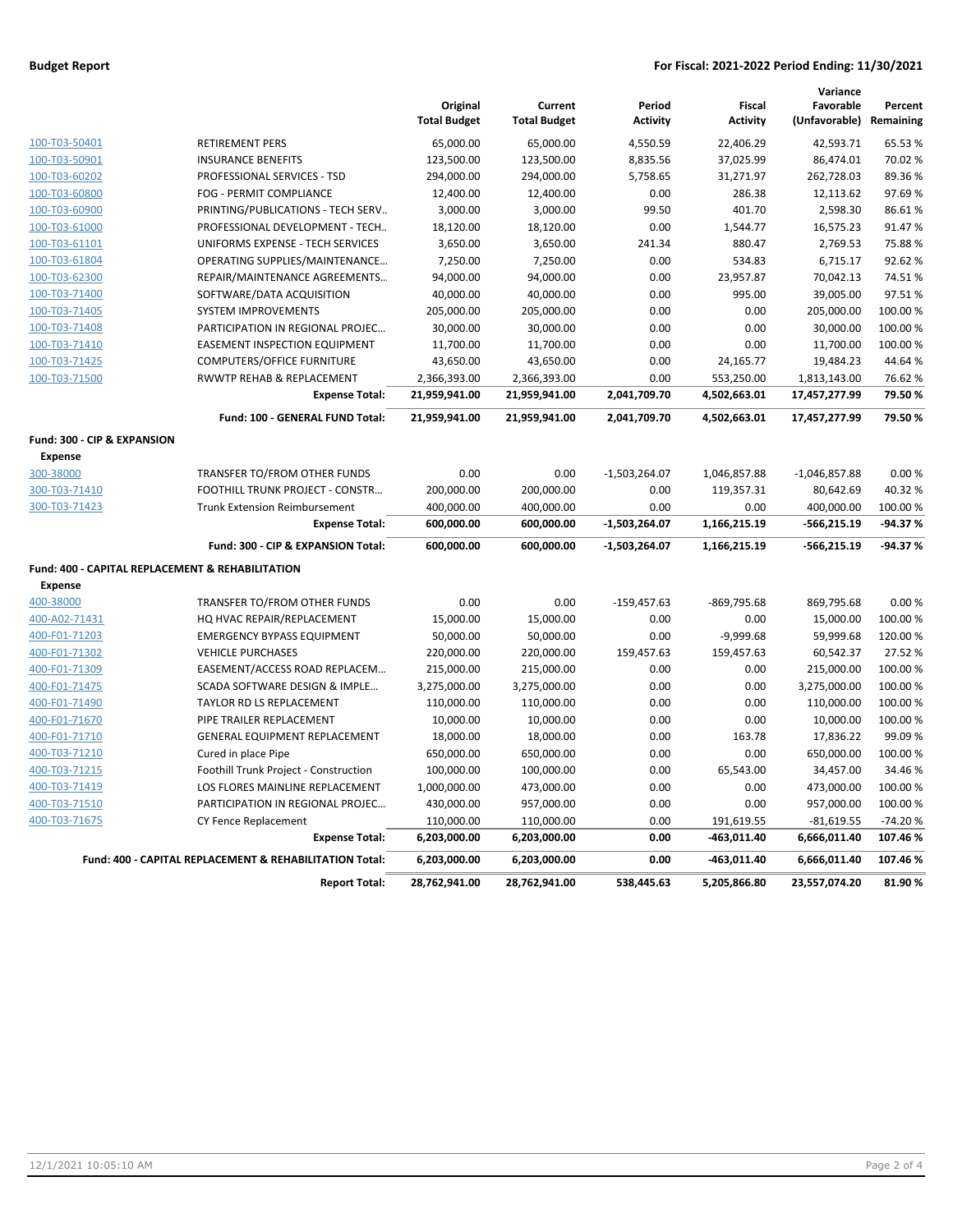### **Budget Report For Fiscal: 2021-2022 Period Ending: 11/30/2021**

|                                                  |                                                         |                                 |                                |                           |                                  | Variance                             |           |
|--------------------------------------------------|---------------------------------------------------------|---------------------------------|--------------------------------|---------------------------|----------------------------------|--------------------------------------|-----------|
|                                                  |                                                         | Original<br><b>Total Budget</b> | Current<br><b>Total Budget</b> | Period<br><b>Activity</b> | <b>Fiscal</b><br><b>Activity</b> | Favorable<br>(Unfavorable) Remaining | Percent   |
| 100-T03-50401                                    | <b>RETIREMENT PERS</b>                                  | 65,000.00                       | 65,000.00                      | 4,550.59                  | 22,406.29                        | 42,593.71                            | 65.53%    |
| 100-T03-50901                                    | <b>INSURANCE BENEFITS</b>                               | 123,500.00                      | 123,500.00                     | 8,835.56                  | 37,025.99                        | 86,474.01                            | 70.02%    |
| 100-T03-60202                                    | PROFESSIONAL SERVICES - TSD                             | 294,000.00                      | 294,000.00                     | 5,758.65                  | 31,271.97                        | 262,728.03                           | 89.36%    |
| 100-T03-60800                                    | FOG - PERMIT COMPLIANCE                                 | 12,400.00                       | 12,400.00                      | 0.00                      | 286.38                           | 12,113.62                            | 97.69%    |
| 100-T03-60900                                    | PRINTING/PUBLICATIONS - TECH SERV                       | 3,000.00                        | 3,000.00                       | 99.50                     | 401.70                           | 2,598.30                             | 86.61%    |
| 100-T03-61000                                    | PROFESSIONAL DEVELOPMENT - TECH                         | 18,120.00                       | 18,120.00                      | 0.00                      | 1,544.77                         | 16,575.23                            | 91.47%    |
| 100-T03-61101                                    | UNIFORMS EXPENSE - TECH SERVICES                        | 3,650.00                        | 3,650.00                       | 241.34                    | 880.47                           | 2,769.53                             | 75.88%    |
| 100-T03-61804                                    | OPERATING SUPPLIES/MAINTENANCE                          | 7,250.00                        | 7,250.00                       | 0.00                      | 534.83                           | 6,715.17                             | 92.62%    |
| 100-T03-62300                                    | REPAIR/MAINTENANCE AGREEMENTS                           | 94,000.00                       | 94,000.00                      | 0.00                      | 23,957.87                        | 70,042.13                            | 74.51%    |
| 100-T03-71400                                    | SOFTWARE/DATA ACQUISITION                               | 40,000.00                       | 40,000.00                      | 0.00                      | 995.00                           | 39,005.00                            | 97.51%    |
| 100-T03-71405                                    | <b>SYSTEM IMPROVEMENTS</b>                              | 205,000.00                      | 205,000.00                     | 0.00                      | 0.00                             | 205,000.00                           | 100.00%   |
| 100-T03-71408                                    | PARTICIPATION IN REGIONAL PROJEC                        | 30,000.00                       | 30,000.00                      | 0.00                      | 0.00                             | 30,000.00                            | 100.00%   |
| 100-T03-71410                                    | <b>EASEMENT INSPECTION EQUIPMENT</b>                    | 11,700.00                       | 11,700.00                      | 0.00                      | 0.00                             | 11,700.00                            | 100.00%   |
| 100-T03-71425                                    | <b>COMPUTERS/OFFICE FURNITURE</b>                       | 43,650.00                       | 43,650.00                      | 0.00                      | 24,165.77                        | 19,484.23                            | 44.64%    |
| 100-T03-71500                                    | RWWTP REHAB & REPLACEMENT                               | 2,366,393.00                    | 2,366,393.00                   | 0.00                      | 553,250.00                       | 1,813,143.00                         | 76.62%    |
|                                                  | <b>Expense Total:</b>                                   | 21,959,941.00                   | 21,959,941.00                  | 2,041,709.70              | 4,502,663.01                     | 17,457,277.99                        | 79.50%    |
|                                                  | Fund: 100 - GENERAL FUND Total:                         | 21,959,941.00                   | 21,959,941.00                  | 2,041,709.70              | 4,502,663.01                     | 17,457,277.99                        | 79.50%    |
| Fund: 300 - CIP & EXPANSION                      |                                                         |                                 |                                |                           |                                  |                                      |           |
| <b>Expense</b>                                   |                                                         |                                 |                                |                           |                                  |                                      |           |
| 300-38000                                        | TRANSFER TO/FROM OTHER FUNDS                            | 0.00                            | 0.00                           | $-1,503,264.07$           | 1,046,857.88                     | $-1,046,857.88$                      | 0.00%     |
| 300-T03-71410                                    | FOOTHILL TRUNK PROJECT - CONSTR                         | 200,000.00                      | 200,000.00                     | 0.00                      | 119,357.31                       | 80,642.69                            | 40.32%    |
| 300-T03-71423                                    | <b>Trunk Extension Reimbursement</b>                    | 400,000.00                      | 400,000.00                     | 0.00                      | 0.00                             | 400,000.00                           | 100.00 %  |
|                                                  | <b>Expense Total:</b>                                   | 600,000.00                      | 600,000.00                     | $-1,503,264.07$           | 1,166,215.19                     | -566,215.19                          | $-94.37%$ |
|                                                  | Fund: 300 - CIP & EXPANSION Total:                      | 600,000.00                      | 600,000.00                     | $-1,503,264.07$           | 1,166,215.19                     | $-566, 215.19$                       | -94.37%   |
| Fund: 400 - CAPITAL REPLACEMENT & REHABILITATION |                                                         |                                 |                                |                           |                                  |                                      |           |
| <b>Expense</b>                                   |                                                         |                                 |                                |                           |                                  |                                      |           |
| 400-38000                                        | TRANSFER TO/FROM OTHER FUNDS                            | 0.00                            | 0.00                           | $-159,457.63$             | -869,795.68                      | 869,795.68                           | 0.00%     |
| 400-A02-71431                                    | HQ HVAC REPAIR/REPLACEMENT                              | 15,000.00                       | 15,000.00                      | 0.00                      | 0.00                             | 15,000.00                            | 100.00%   |
| 400-F01-71203                                    | <b>EMERGENCY BYPASS EQUIPMENT</b>                       | 50,000.00                       | 50,000.00                      | 0.00                      | $-9,999.68$                      | 59,999.68                            | 120.00%   |
| 400-F01-71302                                    | <b>VEHICLE PURCHASES</b>                                | 220,000.00                      | 220,000.00                     | 159,457.63                | 159,457.63                       | 60,542.37                            | 27.52 %   |
| 400-F01-71309                                    | EASEMENT/ACCESS ROAD REPLACEM                           | 215,000.00                      | 215,000.00                     | 0.00                      | 0.00                             | 215,000.00                           | 100.00%   |
| 400-F01-71475                                    | SCADA SOFTWARE DESIGN & IMPLE                           | 3,275,000.00                    | 3,275,000.00                   | 0.00                      | 0.00                             | 3,275,000.00                         | 100.00%   |
| 400-F01-71490                                    | TAYLOR RD LS REPLACEMENT                                | 110,000.00                      | 110,000.00                     | 0.00                      | 0.00                             | 110,000.00                           | 100.00%   |
| 400-F01-71670                                    | PIPE TRAILER REPLACEMENT                                | 10,000.00                       | 10,000.00                      | 0.00                      | 0.00                             | 10,000.00                            | 100.00%   |
| 400-F01-71710                                    | GENERAL EQUIPMENT REPLACEMENT                           | 18,000.00                       | 18,000.00                      | 0.00                      | 163.78                           | 17,836.22                            | 99.09%    |
| 400-T03-71210                                    | Cured in place Pipe                                     | 650,000.00                      | 650,000.00                     | 0.00                      | 0.00                             | 650,000.00                           | 100.00%   |
| 400-T03-71215                                    | Foothill Trunk Project - Construction                   | 100,000.00                      | 100,000.00                     | 0.00                      | 65,543.00                        | 34,457.00                            | 34.46%    |
| 400-T03-71419                                    | LOS FLORES MAINLINE REPLACEMENT                         | 1,000,000.00                    | 473,000.00                     | 0.00                      | 0.00                             | 473,000.00                           | 100.00%   |
| 400-T03-71510                                    | PARTICIPATION IN REGIONAL PROJEC                        | 430,000.00                      | 957,000.00                     | 0.00                      | 0.00                             | 957,000.00                           | 100.00%   |
| 400-T03-71675                                    | CY Fence Replacement                                    | 110,000.00                      | 110,000.00                     | 0.00                      | 191,619.55                       | $-81,619.55$                         | $-74.20%$ |
|                                                  | <b>Expense Total:</b>                                   | 6,203,000.00                    | 6,203,000.00                   | 0.00                      | $-463,011.40$                    | 6,666,011.40                         | 107.46%   |
|                                                  | Fund: 400 - CAPITAL REPLACEMENT & REHABILITATION Total: | 6,203,000.00                    | 6,203,000.00                   | 0.00                      | -463,011.40                      | 6,666,011.40                         | 107.46%   |
|                                                  | <b>Report Total:</b>                                    | 28,762,941.00                   | 28,762,941.00                  | 538,445.63                | 5,205,866.80                     | 23,557,074.20                        | 81.90%    |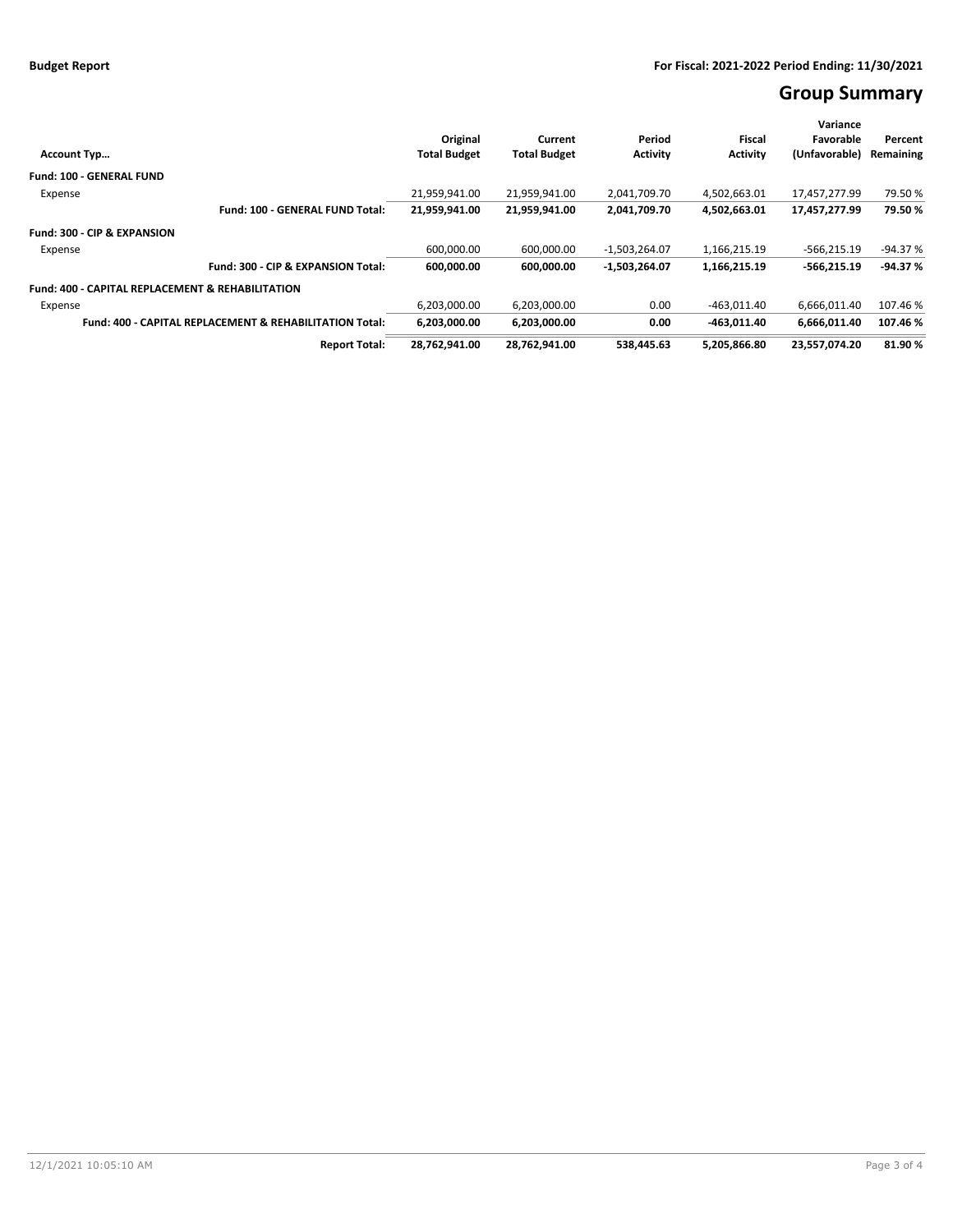# **Group Summary**

|                                                                    | Original            | Current             | Period          | Fiscal          | Variance<br>Favorable | Percent   |
|--------------------------------------------------------------------|---------------------|---------------------|-----------------|-----------------|-----------------------|-----------|
| <b>Account Typ</b>                                                 | <b>Total Budget</b> | <b>Total Budget</b> | <b>Activity</b> | <b>Activity</b> | (Unfavorable)         | Remaining |
| <b>Fund: 100 - GENERAL FUND</b>                                    |                     |                     |                 |                 |                       |           |
| Expense                                                            | 21,959,941.00       | 21,959,941.00       | 2,041,709.70    | 4.502.663.01    | 17.457.277.99         | 79.50%    |
| Fund: 100 - GENERAL FUND Total:                                    | 21,959,941.00       | 21,959,941.00       | 2,041,709.70    | 4,502,663.01    | 17,457,277.99         | 79.50%    |
| Fund: 300 - CIP & EXPANSION                                        |                     |                     |                 |                 |                       |           |
| Expense                                                            | 600,000.00          | 600,000.00          | $-1,503,264.07$ | 1,166,215.19    | $-566,215.19$         | $-94.37%$ |
| Fund: 300 - CIP & EXPANSION Total:                                 | 600,000.00          | 600.000.00          | $-1,503,264.07$ | 1,166,215.19    | $-566.215.19$         | $-94.37%$ |
| <b>Fund: 400 - CAPITAL REPLACEMENT &amp; REHABILITATION</b>        |                     |                     |                 |                 |                       |           |
| Expense                                                            | 6,203,000.00        | 6,203,000.00        | 0.00            | $-463.011.40$   | 6,666,011.40          | 107.46 %  |
| <b>Fund: 400 - CAPITAL REPLACEMENT &amp; REHABILITATION Total:</b> | 6,203,000.00        | 6,203,000.00        | 0.00            | $-463.011.40$   | 6,666,011.40          | 107.46%   |
| <b>Report Total:</b>                                               | 28,762,941.00       | 28,762,941.00       | 538.445.63      | 5,205,866.80    | 23,557,074.20         | 81.90%    |
|                                                                    |                     |                     |                 |                 |                       |           |